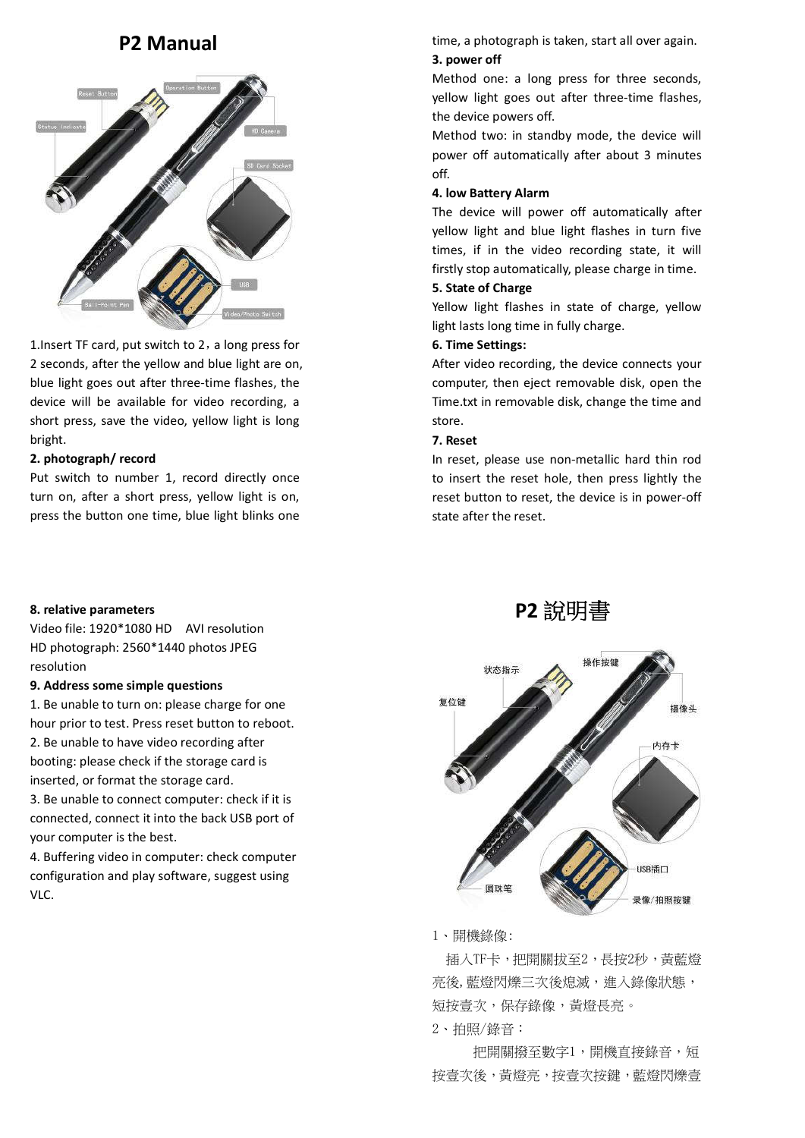

1. Insert TF card, put switch to  $2$ , a long press for 2 seconds, after the yellow and blue light are on, blue light goes out after three-time flashes, the device will be available for video recording, a short press, save the video, yellow light is long bright.

# **2. photograph/ record**

Put switch to number 1, record directly once turn on, after a short press, yellow light is on, press the button one time, blue light blinks one

# **8. relative parameters**

Video file: 1920\*1080 HD AVI resolution HD photograph: 2560\*1440 photos JPEG resolution

#### **9. Address some simple questions**

1. Be unable to turn on: please charge for one hour prior to test. Press reset button to reboot. 2. Be unable to have video recording after booting: please check if the storage card is inserted, or format the storage card. 3. Be unable to connect computer: check if it is

connected, connect it into the back USB port of your computer is the best.

4. Buffering video in computer: check computer configuration and play software, suggest using VLC.

**P2 Manual time, a photograph is taken, start all over again. 3. power off**

> Method one: a long press for three seconds, yellow light goes out after three-time flashes, the device powers off.

> Method two: in standby mode, the device will power off automatically after about 3 minutes off.

## **4. low Battery Alarm**

The device will power off automatically after yellow light and blue light flashes in turn five times, if in the video recording state, it will firstly stop automatically, please charge in time.

# **5. State of Charge**

Yellow light flashes in state of charge, yellow light lasts long time in fully charge.

# **6. Time Settings:**

After video recording, the device connects your computer, then eject removable disk, open the Time.txt in removable disk, change the time and store.

### **7. Reset**

In reset, please use non-metallic hard thin rod to insert the reset hole, then press lightly the reset button to reset, the device is in power-off state after the reset.





# 1、開機錄像:

 插入TF卡,把開關拔至2,長按2秒,黃藍燈 亮後,藍燈閃爍三次後熄滅,進入錄像狀態, 短按壹次,保存錄像,黃燈長亮。

2、拍照/錄音:

把開關撥至數字1,開機直接錄音,短 按壹次後,黃燈亮,按壹次按鍵,藍燈閃爍壹